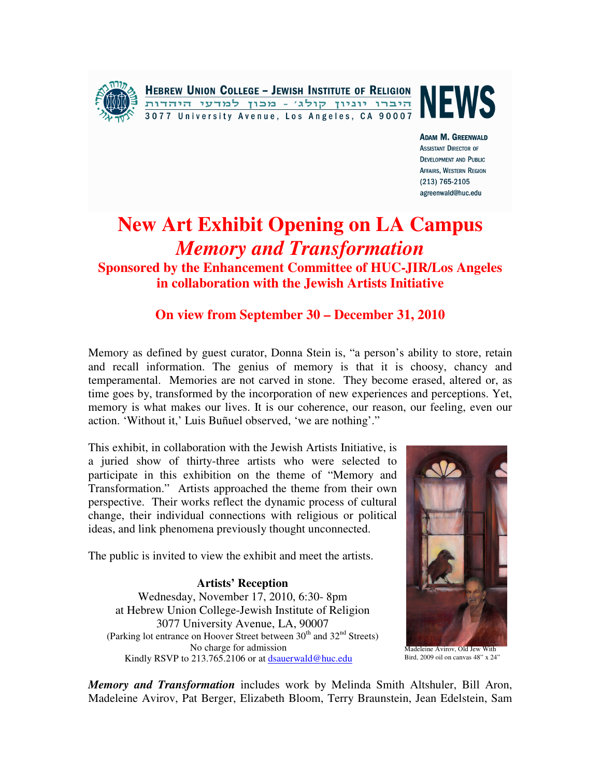

**HEBREW UNION COLLEGE - JEWISH INSTITUTE OF RELIGION** היברו יוניון קולג' - מכון למדעי היהדות 3077 University Avenue, Los Angeles, CA 90007



**ADAM M. GREENWALD ASSISTANT DIRECTOR OF DEVELOPMENT AND PUBLIC AFFAIRS, WESTERN REGION** (213) 765-2105 agreenwald@huc.edu

## **New Art Exhibit Opening on LA Campus**  *Memory and Transformation*

**Sponsored by the Enhancement Committee of HUC-JIR/Los Angeles in collaboration with the Jewish Artists Initiative**

## **On view from September 30 – December 31, 2010**

Memory as defined by guest curator, Donna Stein is, "a person's ability to store, retain and recall information. The genius of memory is that it is choosy, chancy and temperamental. Memories are not carved in stone. They become erased, altered or, as time goes by, transformed by the incorporation of new experiences and perceptions. Yet, memory is what makes our lives. It is our coherence, our reason, our feeling, even our action. 'Without it,' Luis Buñuel observed, 'we are nothing'."

This exhibit, in collaboration with the Jewish Artists Initiative, is a juried show of thirty-three artists who were selected to participate in this exhibition on the theme of "Memory and Transformation." Artists approached the theme from their own perspective. Their works reflect the dynamic process of cultural change, their individual connections with religious or political ideas, and link phenomena previously thought unconnected.

The public is invited to view the exhibit and meet the artists.

**Artists' Reception**  Wednesday, November 17, 2010, 6:30- 8pm at Hebrew Union College-Jewish Institute of Religion 3077 University Avenue, LA, 90007 (Parking lot entrance on Hoover Street between  $30<sup>th</sup>$  and  $32<sup>nd</sup>$  Streets) No charge for admission Kindly RSVP to 213.765.2106 or at dsauerwald@huc.edu



Madeleine Avirov, Old Jew With Bird, 2009 oil on canvas 48" x 24"

*Memory and Transformation* includes work by Melinda Smith Altshuler, Bill Aron, Madeleine Avirov, Pat Berger, Elizabeth Bloom, Terry Braunstein, Jean Edelstein, Sam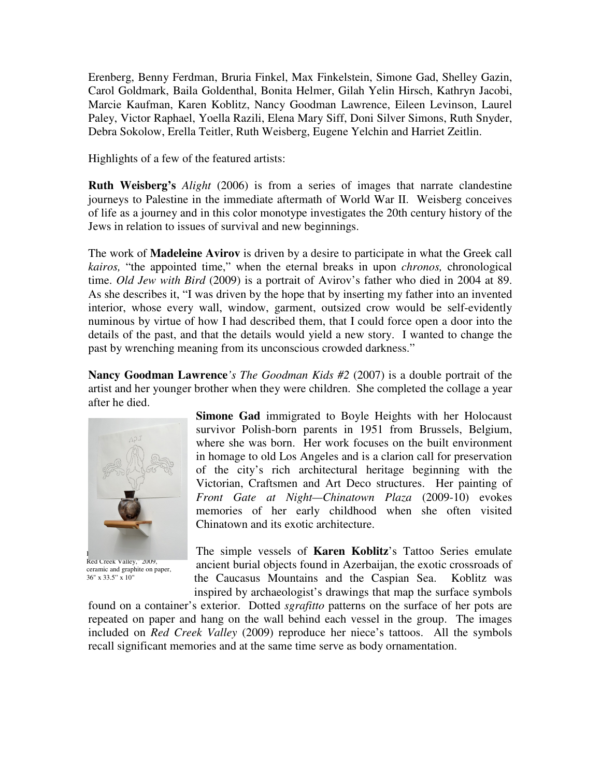Erenberg, Benny Ferdman, Bruria Finkel, Max Finkelstein, Simone Gad, Shelley Gazin, Carol Goldmark, Baila Goldenthal, Bonita Helmer, Gilah Yelin Hirsch, Kathryn Jacobi, Marcie Kaufman, Karen Koblitz, Nancy Goodman Lawrence, Eileen Levinson, Laurel Paley, Victor Raphael, Yoella Razili, Elena Mary Siff, Doni Silver Simons, Ruth Snyder, Debra Sokolow, Erella Teitler, Ruth Weisberg, Eugene Yelchin and Harriet Zeitlin.

Highlights of a few of the featured artists:

**Ruth Weisberg's** *Alight* (2006) is from a series of images that narrate clandestine journeys to Palestine in the immediate aftermath of World War II. Weisberg conceives of life as a journey and in this color monotype investigates the 20th century history of the Jews in relation to issues of survival and new beginnings.

The work of **Madeleine Avirov** is driven by a desire to participate in what the Greek call *kairos,* "the appointed time," when the eternal breaks in upon *chronos,* chronological time. *Old Jew with Bird* (2009) is a portrait of Avirov's father who died in 2004 at 89. As she describes it, "I was driven by the hope that by inserting my father into an invented interior, whose every wall, window, garment, outsized crow would be self-evidently numinous by virtue of how I had described them, that I could force open a door into the details of the past, and that the details would yield a new story. I wanted to change the past by wrenching meaning from its unconscious crowded darkness."

**Nancy Goodman Lawrence***'s The Goodman Kids #2* (2007) is a double portrait of the artist and her younger brother when they were children. She completed the collage a year after he died.



Red Creek Valley," 2009, ceramic and graphite on paper, 36" x 33.5" x 10"

**Simone Gad** immigrated to Boyle Heights with her Holocaust survivor Polish-born parents in 1951 from Brussels, Belgium, where she was born. Her work focuses on the built environment in homage to old Los Angeles and is a clarion call for preservation of the city's rich architectural heritage beginning with the Victorian, Craftsmen and Art Deco structures. Her painting of *Front Gate at Night—Chinatown Plaza* (2009-10) evokes memories of her early childhood when she often visited Chinatown and its exotic architecture.

The simple vessels of **Karen Koblitz**'s Tattoo Series emulate ancient burial objects found in Azerbaijan, the exotic crossroads of the Caucasus Mountains and the Caspian Sea. Koblitz was inspired by archaeologist's drawings that map the surface symbols

found on a container's exterior. Dotted *sgrafitto* patterns on the surface of her pots are repeated on paper and hang on the wall behind each vessel in the group. The images included on *Red Creek Valley* (2009) reproduce her niece's tattoos. All the symbols recall significant memories and at the same time serve as body ornamentation.